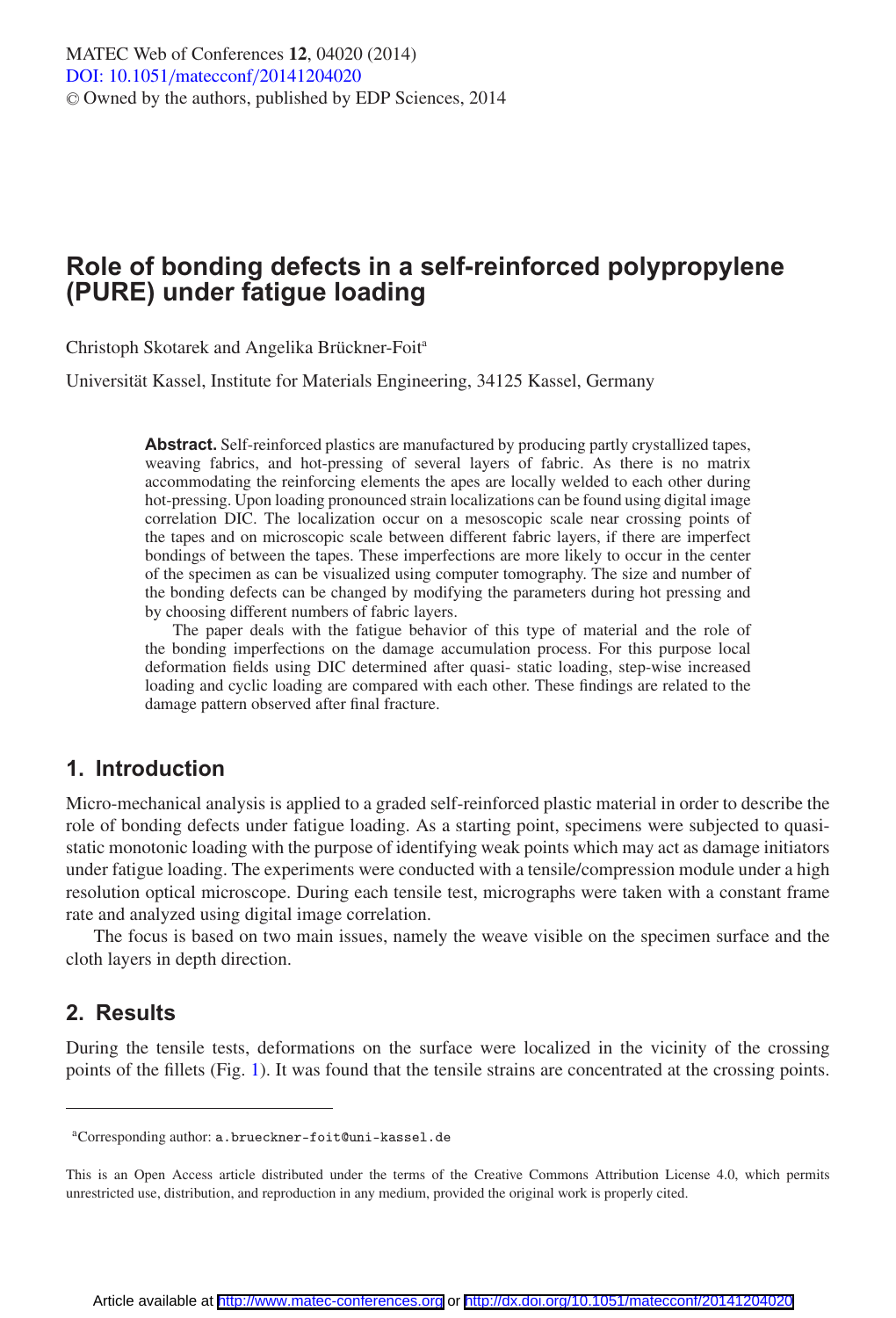# **Role of bonding defects in a self-reinforced polypropylene (PURE) under fatigue loading**

Christoph Skotarek and Angelika Brückner-Foita

Universität Kassel, Institute for Materials Engineering, 34125 Kassel, Germany

**Abstract.** Self-reinforced plastics are manufactured by producing partly crystallized tapes, weaving fabrics, and hot-pressing of several layers of fabric. As there is no matrix accommodating the reinforcing elements the apes are locally welded to each other during hot-pressing. Upon loading pronounced strain localizations can be found using digital image correlation DIC. The localization occur on a mesoscopic scale near crossing points of the tapes and on microscopic scale between different fabric layers, if there are imperfect bondings of between the tapes. These imperfections are more likely to occur in the center of the specimen as can be visualized using computer tomography. The size and number of the bonding defects can be changed by modifying the parameters during hot pressing and by choosing different numbers of fabric layers.

The paper deals with the fatigue behavior of this type of material and the role of the bonding imperfections on the damage accumulation process. For this purpose local deformation fields using DIC determined after quasi- static loading, step-wise increased loading and cyclic loading are compared with each other. These findings are related to the damage pattern observed after final fracture.

## **1. Introduction**

Micro-mechanical analysis is applied to a graded self-reinforced plastic material in order to describe the role of bonding defects under fatigue loading. As a starting point, specimens were subjected to quasistatic monotonic loading with the purpose of identifying weak points which may act as damage initiators under fatigue loading. The experiments were conducted with a tensile/compression module under a high resolution optical microscope. During each tensile test, micrographs were taken with a constant frame rate and analyzed using digital image correlation.

The focus is based on two main issues, namely the weave visible on the specimen surface and the cloth layers in depth direction.

## **2. Results**

During the tensile tests, deformations on the surface were localized in the vicinity of the crossing points of the fillets (Fig. [1\)](#page-1-0). It was found that the tensile strains are concentrated at the crossing points.

aCorresponding author: a.brueckner-foit@uni-kassel.de

This is an Open Access article distributed under the terms of the Creative Commons Attribution License 4.0, which permits unrestricted use, distribution, and reproduction in any medium, provided the original work is properly cited.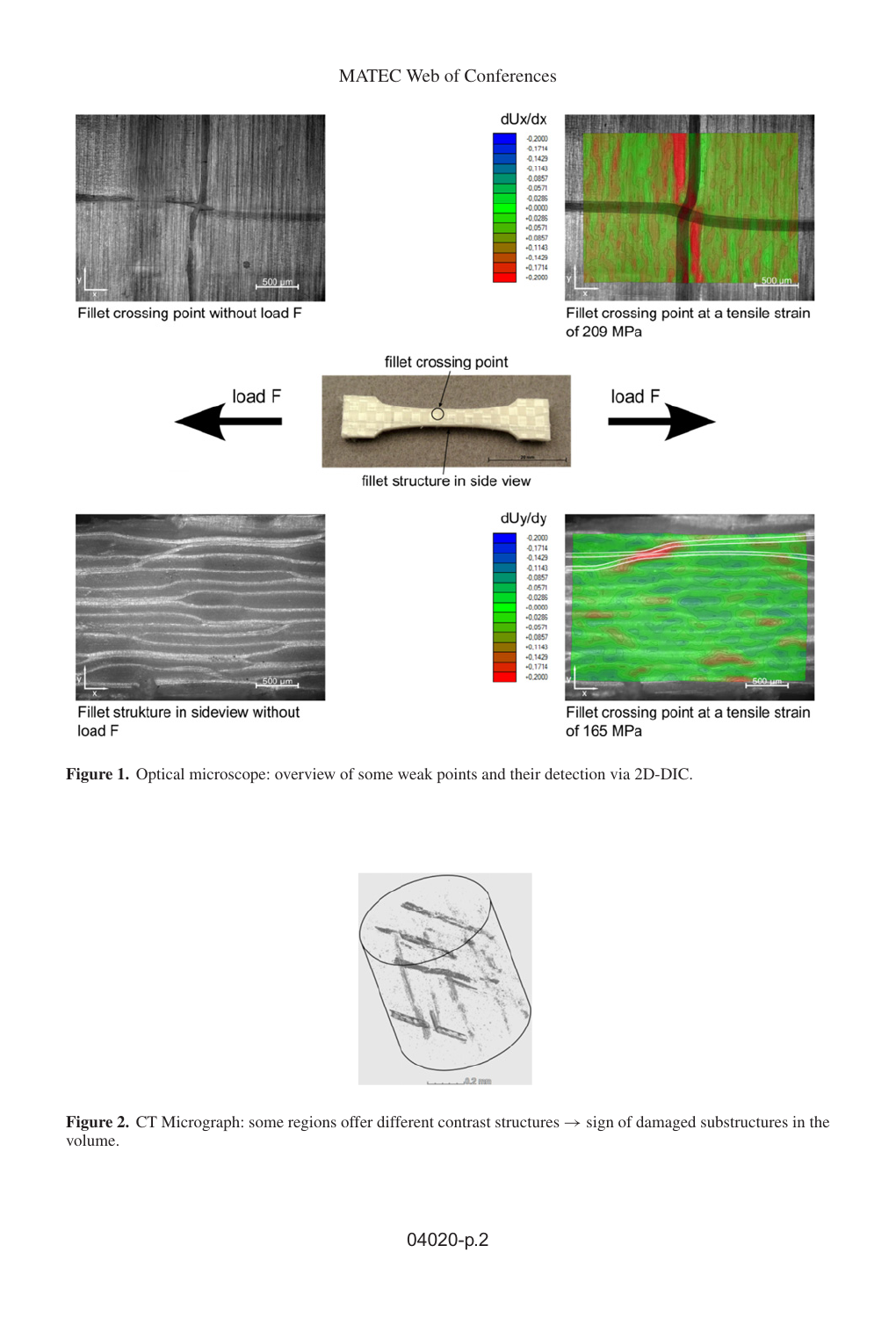### MATEC Web of Conferences

<span id="page-1-0"></span>

Fillet strukture in sideview without load F

Fillet crossing point at a tensile strain of 165 MPa

**WANN** 

<span id="page-1-1"></span>**Figure 1.** Optical microscope: overview of some weak points and their detection via 2D-DIC.



**Figure 2.** CT Micrograph: some regions offer different contrast structures → sign of damaged substructures in the volume.